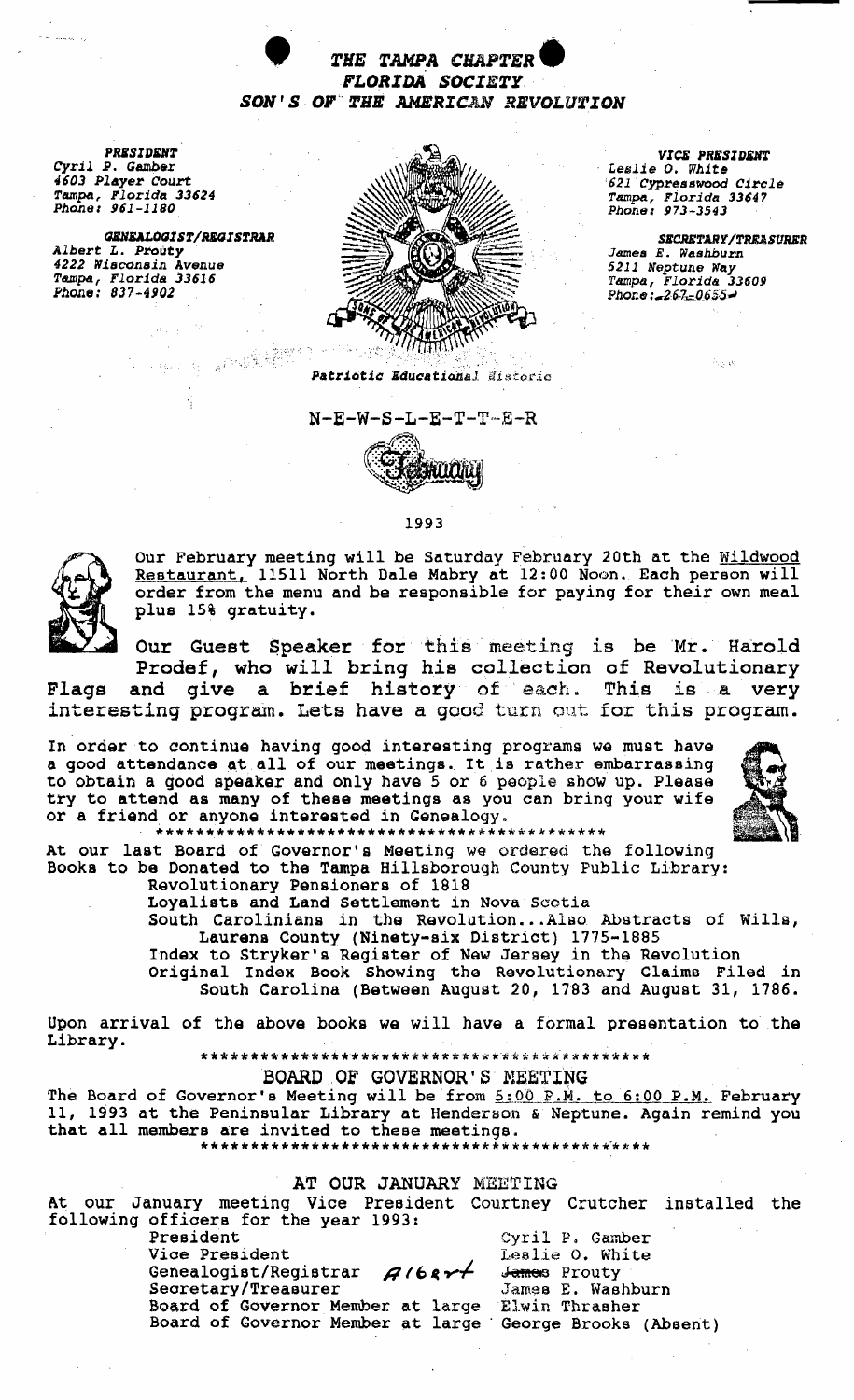

**PRESIDENT** Cyril P. Gamber 4603 Player Court Tampa, Florida 33624<br>Phone: 961-1180

GENEALOGIST/REGISTRAR<br>Albert L. Prouty 4222 Wisconsin Avenue<br>Tampa, Florida 33616<br>Phone: 837-4902



 $N-E-W-S-L-E-T-T-E-R$ 

1993

VICE PRESIDENT Leslie O. White 621 Cypresswood Circle Tampa, Florida 33647<br>Phone: 973-3543

SECRETARY/TREASURER James E. Washburn 5211 Neptune Way Tampa, Florida 33609<br>Phone: 267-0655-

우는 리

Our February meeting will be Saturday February 20th at the Wildwood Restaurant, 11511 North Dale Mabry at 12:00 Noon. Each person will order from the menu and be responsible for paying for their own meal plus 15% gratuity.

Our Guest Speaker for this meeting is be Mr. Harold Prodef, who will bring his collection of Revolutionary

and give a brief history of each. This is a very Flags interesting program. Lets have a good turn out for this program.

In order to continue having good interesting programs we must have<br>a good attendance at all of our meetings. It is rather embarrassing to obtain a good speaker and only have 5 or 6 people show up. Please try to attend as many of these meetings as you can bring your wife or a friend or anyone interested in Genealogy.



At our last Board of Governor's Meeting we ordered the following Books to be Donated to the Tampa Hillsborough County Public Library: Revolutionary Pensioners of 1818

Loyalists and Land Settlement in Nova Scotia

South Carolinians in the Revolution...Also Abstracts of Wills, Laurens County (Ninety-six District) 1775-1885

Index to Stryker's Register of New Jersey in the Revolution<br>Original Index Book Showing the Revolutionary Claims Filed in<br>South Carolina (Between August 20, 1783 and August 31, 1786.

Upon arrival of the above books we will have a formal presentation to the Library.

BOARD OF GOVERNOR'S MEETING

The Board of Governor's Meeting will be from 5:00 P.M. to 6:00 P.M. February 11, 1993 at the Peninsular Library at Henderson & Neptune. Again remind you that all members are invited to these meetings. 

## AT OUR JANUARY MEETING

At our January meeting Vice President Courtney Crutcher installed the following officers for the year 1993:

President Cyril P. Gamber Vice President Lealie O. White Genealogist/Registrar  $\beta$ /68 $\nu$ James Prouty Secretary/Treasurer James E. Washburn Board of Governor Member at large Elwin Thrasher Board of Governor Member at large George Brooks (Absent)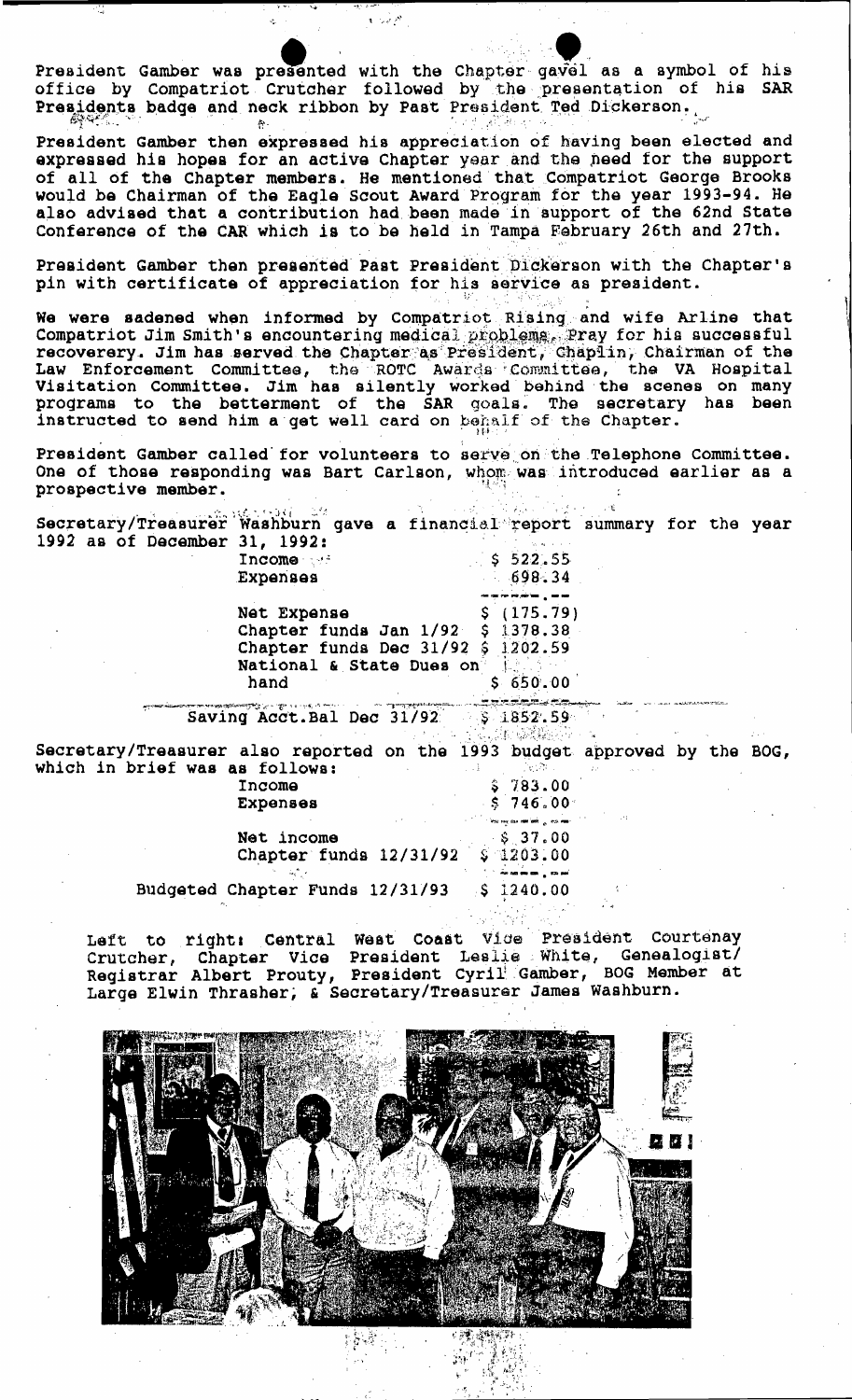**example:**<br>example: d with the Chapter gavel and with the Chapter gavel and the present on by Past President Ted Di President Gamber was presented with the Chapter gavel as a symbol of his office by Compatriot Crutcher followed by the presentation of his SAR Presidents badge and neck ribbon by Past President Ted Dickerson.

President Gamber then expressed his appreciation of having been elected and  $P$ expressed his hopes for an active Chapter year and the need for the support of all of the Chapter members. He mentioned 'that Compatriot George Brooks would be Chairman of the Eagle Scout Award Program for the year 1993-94. He also advised that a contribution had been made in support of the 62nd State Conference of the CAR which is to be held in Tampa February 26th and 27th.

President Gamber then presented Past President Dickerson with the Chapter's pin with certificate of appreciation for his service as president.  $\mathbb{R}^n \times \mathbb{R}^n$ 

. .

We were sadened when informed by Compatriot Rising and wife Arline that Compatriot Jim Smith's encountering medical problems. Pray for his successful recoverery. Jim has served the Chapter as President, Chaplin, Chairman of the Law Enforcement Committee, the ROTC Awards Committee, the VA Hospital Visitation Committee. Jim has silently worked behind the scenes on many proqrams to the betterment of the SAR goals The secretary has been instructed to send him a get well card on behalf of the Chapter.

President Gamber called for volunteers to serve on the Telephone Committee. One of those responding was Bart Carlson, whom was introduced earlier as a prospective member.

| Secretary/Treasurer Washburn gave a financial report summary for the year |                                              |       |                                    |  |  |
|---------------------------------------------------------------------------|----------------------------------------------|-------|------------------------------------|--|--|
|                                                                           |                                              |       |                                    |  |  |
| 1992 as of December 31, 1992:                                             |                                              |       |                                    |  |  |
|                                                                           | Income                                       |       | \$522.55                           |  |  |
|                                                                           | Expenses                                     |       | 698.34                             |  |  |
|                                                                           |                                              |       |                                    |  |  |
|                                                                           | Net Expense                                  |       | \$(175.79)                         |  |  |
|                                                                           | Chapter funds Jan $1/92$ \$ 1378.38          |       |                                    |  |  |
|                                                                           | Chapter funds Dec $31/92$ \$ 1202.59         |       |                                    |  |  |
|                                                                           | National & State Dues on                     |       |                                    |  |  |
|                                                                           |                                              |       | \$650.00                           |  |  |
|                                                                           | hand                                         |       |                                    |  |  |
|                                                                           | Saving Acct. Bal Dec 31/92 \$ 1852.59        |       |                                    |  |  |
|                                                                           |                                              |       |                                    |  |  |
|                                                                           |                                              |       |                                    |  |  |
| Secretary/Treasurer also reported on the 1993 budget approved by the BOG, |                                              |       |                                    |  |  |
| which in brief was as follows:                                            |                                              | . . i | ੀ ਦਾ ਸੌਸ ਪ                         |  |  |
|                                                                           | Income                                       |       | \$783.00                           |  |  |
|                                                                           | Expenses                                     |       | \$746.00                           |  |  |
|                                                                           |                                              |       | ിയ എയ <b>ണി</b> ൽ <sub>മ</sub> ാതാ |  |  |
|                                                                           | Net income                                   |       | \$37.00                            |  |  |
|                                                                           | Chapter funds $12/31/92 \t{3}1203.00$        |       |                                    |  |  |
|                                                                           |                                              |       |                                    |  |  |
|                                                                           | Budgeted Chapter Funds $12/31/93$ \$ 1240.00 |       |                                    |  |  |
|                                                                           |                                              |       |                                    |  |  |
|                                                                           |                                              |       |                                    |  |  |

Left to right: Central West Coast Vice President Courtenay Crutcher, Chapter Vice President Leslie White, Genealogist/ Registrar Albert Prouty, President Cyril Gamber, BOG Member at Large Elwin Thrasher, & Secretary/Treasurer James Washburn.